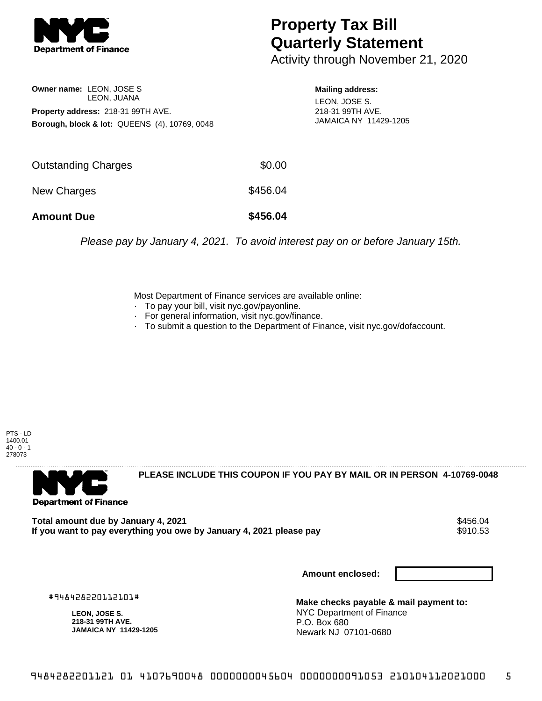

## **Property Tax Bill Quarterly Statement**

Activity through November 21, 2020

**Owner name:** LEON, JOSE S LEON, JUANA **Property address:** 218-31 99TH AVE. **Borough, block & lot:** QUEENS (4), 10769, 0048 **Mailing address:** LEON, JOSE S. 218-31 99TH AVE. JAMAICA NY 11429-1205

| <b>Amount Due</b>          | \$456.04 |
|----------------------------|----------|
| New Charges                | \$456.04 |
| <b>Outstanding Charges</b> | \$0.00   |

Please pay by January 4, 2021. To avoid interest pay on or before January 15th.

Most Department of Finance services are available online:

- · To pay your bill, visit nyc.gov/payonline.
- For general information, visit nyc.gov/finance.
- · To submit a question to the Department of Finance, visit nyc.gov/dofaccount.

PTS - LD 1400.01  $40 - 0 - 1$ 278073



**PLEASE INCLUDE THIS COUPON IF YOU PAY BY MAIL OR IN PERSON 4-10769-0048** 

**Total amount due by January 4, 2021<br>If you want to pay everything you owe by January 4, 2021 please pay \$910.53** If you want to pay everything you owe by January 4, 2021 please pay

**Amount enclosed:**

#948428220112101#

**LEON, JOSE S. 218-31 99TH AVE. JAMAICA NY 11429-1205**

**Make checks payable & mail payment to:** NYC Department of Finance P.O. Box 680 Newark NJ 07101-0680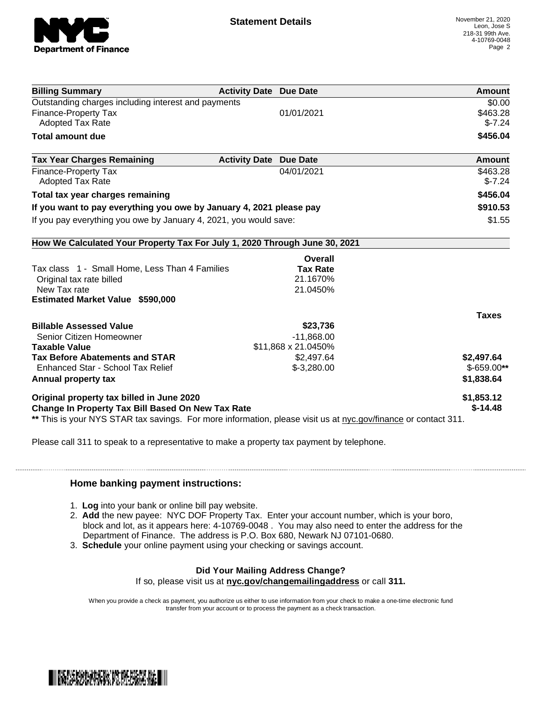

| <b>Billing Summary</b>                                                                                         | <b>Activity Date Due Date</b>           | Amount       |
|----------------------------------------------------------------------------------------------------------------|-----------------------------------------|--------------|
| Outstanding charges including interest and payments                                                            |                                         | \$0.00       |
| <b>Finance-Property Tax</b>                                                                                    | 01/01/2021                              | \$463.28     |
| <b>Adopted Tax Rate</b>                                                                                        |                                         | $$-7.24$     |
| <b>Total amount due</b>                                                                                        |                                         | \$456.04     |
| <b>Tax Year Charges Remaining</b>                                                                              | <b>Activity Date</b><br><b>Due Date</b> | Amount       |
| <b>Finance-Property Tax</b>                                                                                    | 04/01/2021                              | \$463.28     |
| Adopted Tax Rate                                                                                               |                                         | $$-7.24$     |
| Total tax year charges remaining                                                                               |                                         | \$456.04     |
| If you want to pay everything you owe by January 4, 2021 please pay                                            |                                         | \$910.53     |
| If you pay everything you owe by January 4, 2021, you would save:                                              |                                         | \$1.55       |
| How We Calculated Your Property Tax For July 1, 2020 Through June 30, 2021                                     |                                         |              |
|                                                                                                                | Overall                                 |              |
| Tax class 1 - Small Home, Less Than 4 Families                                                                 | <b>Tax Rate</b>                         |              |
| Original tax rate billed                                                                                       | 21.1670%                                |              |
| New Tax rate                                                                                                   | 21.0450%                                |              |
| <b>Estimated Market Value \$590,000</b>                                                                        |                                         |              |
|                                                                                                                |                                         | <b>Taxes</b> |
| <b>Billable Assessed Value</b>                                                                                 | \$23,736                                |              |
| Senior Citizen Homeowner                                                                                       | $-11,868.00$                            |              |
| <b>Taxable Value</b>                                                                                           | \$11,868 x 21.0450%                     |              |
| <b>Tax Before Abatements and STAR</b>                                                                          | \$2,497.64                              | \$2,497.64   |
| Enhanced Star - School Tax Relief                                                                              | $$-3,280.00$                            | $$-659.00**$ |
| Annual property tax                                                                                            |                                         | \$1,838.64   |
| Original property tax billed in June 2020                                                                      |                                         | \$1,853.12   |
| Change In Property Tax Bill Based On New Tax Rate                                                              |                                         | $$-14.48$    |
| ** This is your NYS STAR tax savings. For more information, please visit us at nyc.gov/finance or contact 311. |                                         |              |

Please call 311 to speak to a representative to make a property tax payment by telephone.

## **Home banking payment instructions:**

- 1. **Log** into your bank or online bill pay website.
- 2. **Add** the new payee: NYC DOF Property Tax. Enter your account number, which is your boro, block and lot, as it appears here: 4-10769-0048 . You may also need to enter the address for the Department of Finance. The address is P.O. Box 680, Newark NJ 07101-0680.
- 3. **Schedule** your online payment using your checking or savings account.

## **Did Your Mailing Address Change?**

If so, please visit us at **nyc.gov/changemailingaddress** or call **311.**

When you provide a check as payment, you authorize us either to use information from your check to make a one-time electronic fund transfer from your account or to process the payment as a check transaction.